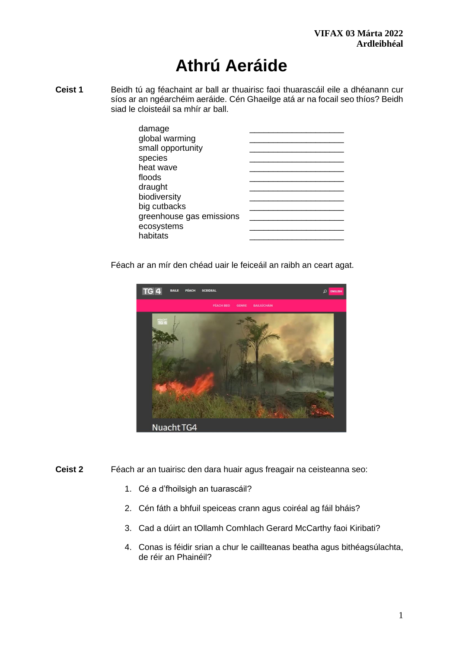# **Athrú Aeráide**

**Ceist 1** Beidh tú ag féachaint ar ball ar thuairisc faoi thuarascáil eile a dhéanann cur síos ar an ngéarchéim aeráide. Cén Ghaeilge atá ar na focail seo thíos? Beidh siad le cloisteáil sa mhír ar ball.

Féach ar an mír den chéad uair le feiceáil an raibh an ceart agat.



- **Ceist 2** Féach ar an tuairisc den dara huair agus freagair na ceisteanna seo:
	- 1. Cé a d'fhoilsigh an tuarascáil?
	- 2. Cén fáth a bhfuil speiceas crann agus coiréal ag fáil bháis?
	- 3. Cad a dúirt an tOllamh Comhlach Gerard McCarthy faoi Kiribati?
	- 4. Conas is féidir srian a chur le caillteanas beatha agus bithéagsúlachta, de réir an Phainéil?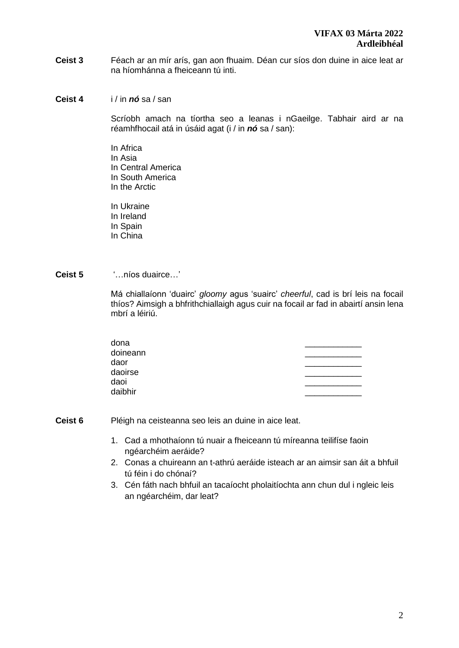- **Ceist 3** Féach ar an mír arís, gan aon fhuaim. Déan cur síos don duine in aice leat ar na híomhánna a fheiceann tú inti.
- **Ceist 4** i / in *nó* sa / san

Scríobh amach na tíortha seo a leanas i nGaeilge. Tabhair aird ar na réamhfhocail atá in úsáid agat (i / in *nó* sa / san):

In Africa In Asia In Central America In South America In the Arctic

In Ukraine In Ireland In Spain In China

**Ceist 5** '…níos duairce…'

Má chiallaíonn 'duairc' *gloomy* agus 'suairc' *cheerful*, cad is brí leis na focail thíos? Aimsigh a bhfrithchiallaigh agus cuir na focail ar fad in abairtí ansin lena mbrí a léiriú.

| dona     |  |
|----------|--|
| doineann |  |
| daor     |  |
| daoirse  |  |
| daoi     |  |
| daibhir  |  |
|          |  |

**Ceist 6** Pléigh na ceisteanna seo leis an duine in aice leat.

- 1. Cad a mhothaíonn tú nuair a fheiceann tú míreanna teilifíse faoin ngéarchéim aeráide?
- 2. Conas a chuireann an t-athrú aeráide isteach ar an aimsir san áit a bhfuil tú féin i do chónaí?
- 3. Cén fáth nach bhfuil an tacaíocht pholaitíochta ann chun dul i ngleic leis an ngéarchéim, dar leat?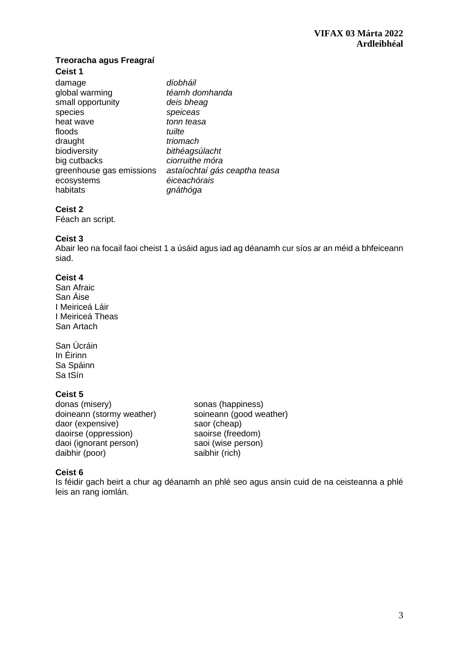## **Treoracha agus Freagraí**

## **Ceist 1**

| damage                   | díobháil                      |
|--------------------------|-------------------------------|
| global warming           | téamh domhanda                |
| small opportunity        | deis bheag                    |
| species                  | speiceas                      |
| heat wave                | tonn teasa                    |
| floods                   | tuilte                        |
| draught                  | triomach                      |
| biodiversity             | bithéagsúlacht                |
| big cutbacks             | ciorruithe móra               |
| greenhouse gas emissions | astaíochtaí gás ceaptha teasa |
| ecosystems               | éiceachórais                  |
| habitats                 | gnáthóga                      |
|                          |                               |

### **Ceist 2**

Féach an script.

### **Ceist 3**

Abair leo na focail faoi cheist 1 a úsáid agus iad ag déanamh cur síos ar an méid a bhfeiceann siad.

### **Ceist 4**

San Afraic San Áise I Meiriceá Láir I Meiriceá Theas San Artach

San Úcráin In Éirinn Sa Spáinn Sa tSín

## **Ceist 5**

donas (misery) sonas (happiness) doineann (stormy weather) soineann (good weather) daor (expensive) saor (cheap)<br>daoirse (oppression) saoirse (freedom) daoirse (oppression) saoirse (freedom)<br>daoi (ignorant person) saoi (wise person) daoi (ignorant person) saoi (wise person) saoi (wise person) saibhir (rich) daibhir (poor)

## **Ceist 6**

Is féidir gach beirt a chur ag déanamh an phlé seo agus ansin cuid de na ceisteanna a phlé leis an rang iomlán.